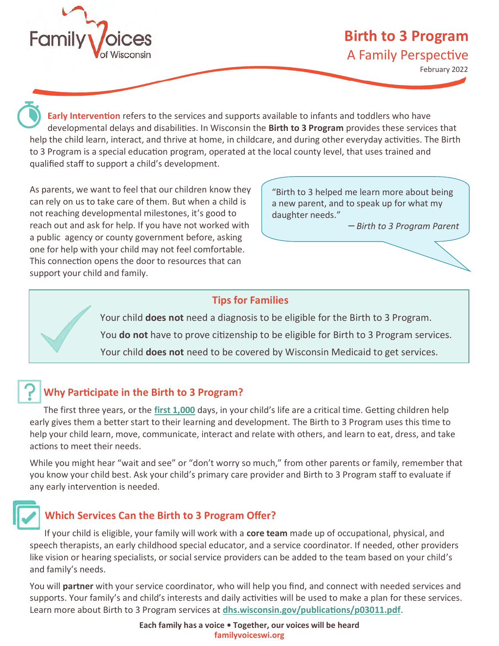

# **Birth to 3 Program** A Family Perspective

February 2022

**Early Intervention** refers to the services and supports available to infants and toddlers who have developmental delays and disabilities. In Wisconsin the **Birth to 3 Program** provides these services that help the child learn, interact, and thrive at home, in childcare, and during other everyday activities. The Birth to 3 Program is a special education program, operated at the local county level, that uses trained and qualified staff to support a child's development.

As parents, we want to feel that our children know they can rely on us to take care of them. But when a child is not reaching developmental milestones, it's good to reach out and ask for help. If you have not worked with a public agency or county government before, asking one for help with your child may not feel comfortable. This connection opens the door to resources that can support your child and family.

"Birth to 3 helped me learn more about being a new parent, and to speak up for what my daughter needs."

*ꟷ Birth to 3 Program Parent*

#### **Tips for Families**

 Your child **does not** need a diagnosis to be eligible for the Birth to 3 Program. You **do not** have to prove citizenship to be eligible for Birth to 3 Program services. Your child **does not** need to be covered by Wisconsin Medicaid to get services.

### **Why Participate in the Birth to 3 Program?**

The first three years, or the **[first 1,000](https://www.dhs.wisconsin.gov/birthto3/outreach-campaign-family.htm)** days, in your child's life are a critical time. Getting children help early gives them a better start to their learning and development. The Birth to 3 Program uses this time to help your child learn, move, communicate, interact and relate with others, and learn to eat, dress, and take actions to meet their needs.

While you might hear "wait and see" or "don't worry so much," from other parents or family, remember that you know your child best. Ask your child's primary care provider and Birth to 3 Program staff to evaluate if any early intervention is needed.

### **Which Services Can the Birth to 3 Program Offer?**

If your child is eligible, your family will work with a **core team** made up of occupational, physical, and speech therapists, an early childhood special educator, and a service coordinator. If needed, other providers like vision or hearing specialists, or social service providers can be added to the team based on your child's and family's needs.

You will **partner** with your service coordinator, who will help you find, and connect with needed services and supports. Your family's and child's interests and daily activities will be used to make a plan for these services. Learn more about Birth to 3 Program services at **[dhs.wisconsin.gov/publications/p03011.pdf](https://www.dhs.wisconsin.gov/publications/p03011.pdf)**.

> **Each family has a voice • Together, our voices will be heard familyvoiceswi.org**